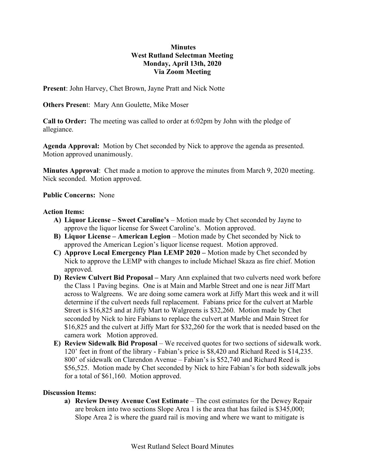## **Minutes** West Rutland Selectman Meeting Monday, April 13th, 2020 Via Zoom Meeting

Present: John Harvey, Chet Brown, Jayne Pratt and Nick Notte

Others Present: Mary Ann Goulette, Mike Moser

Call to Order: The meeting was called to order at 6:02pm by John with the pledge of allegiance.

Agenda Approval: Motion by Chet seconded by Nick to approve the agenda as presented. Motion approved unanimously.

Minutes Approval: Chet made a motion to approve the minutes from March 9, 2020 meeting. Nick seconded. Motion approved.

### Public Concerns: None

### Action Items:

- A) Liquor License Sweet Caroline's Motion made by Chet seconded by Jayne to approve the liquor license for Sweet Caroline's. Motion approved.
- B) Liquor License American Legion Motion made by Chet seconded by Nick to approved the American Legion's liquor license request. Motion approved.
- C) Approve Local Emergency Plan LEMP 2020 Motion made by Chet seconded by Nick to approve the LEMP with changes to include Michael Skaza as fire chief. Motion approved.
- D) Review Culvert Bid Proposal Mary Ann explained that two culverts need work before the Class 1 Paving begins. One is at Main and Marble Street and one is near Jiff Mart across to Walgreens. We are doing some camera work at Jiffy Mart this week and it will determine if the culvert needs full replacement. Fabians price for the culvert at Marble Street is \$16,825 and at Jiffy Mart to Walgreens is \$32,260. Motion made by Chet seconded by Nick to hire Fabians to replace the culvert at Marble and Main Street for \$16,825 and the culvert at Jiffy Mart for \$32,260 for the work that is needed based on the camera work Motion approved.
- E) Review Sidewalk Bid Proposal We received quotes for two sections of sidewalk work. 120' feet in front of the library - Fabian's price is \$8,420 and Richard Reed is \$14,235. 800' of sidewalk on Clarendon Avenue – Fabian's is \$52,740 and Richard Reed is \$56,525. Motion made by Chet seconded by Nick to hire Fabian's for both sidewalk jobs for a total of \$61,160. Motion approved.

# Discussion Items:

a) Review Dewey Avenue Cost Estimate – The cost estimates for the Dewey Repair are broken into two sections Slope Area 1 is the area that has failed is \$345,000; Slope Area 2 is where the guard rail is moving and where we want to mitigate is